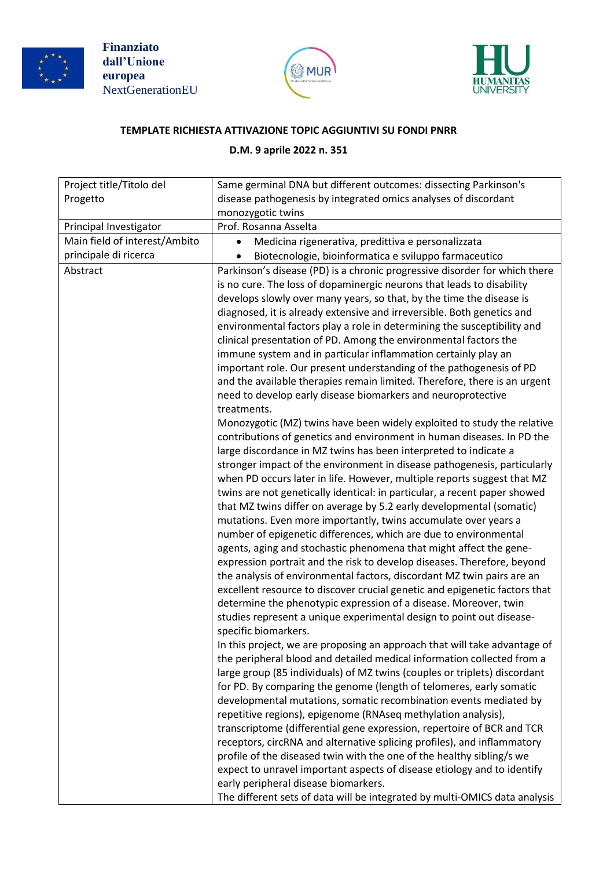





## **TEMPLATE RICHIESTA ATTIVAZIONE TOPIC AGGIUNTIVI SU FONDI PNRR**

## **D.M. 9 aprile 2022 n. 351**

| disease pathogenesis by integrated omics analyses of discordant<br>Progetto<br>monozygotic twins<br>Principal Investigator<br>Prof. Rosanna Asselta<br>Main field of interest/Ambito<br>Medicina rigenerativa, predittiva e personalizzata<br>principale di ricerca<br>Biotecnologie, bioinformatica e sviluppo farmaceutico<br>Abstract<br>Parkinson's disease (PD) is a chronic progressive disorder for which there<br>is no cure. The loss of dopaminergic neurons that leads to disability<br>develops slowly over many years, so that, by the time the disease is<br>diagnosed, it is already extensive and irreversible. Both genetics and<br>environmental factors play a role in determining the susceptibility and<br>clinical presentation of PD. Among the environmental factors the<br>immune system and in particular inflammation certainly play an<br>important role. Our present understanding of the pathogenesis of PD<br>and the available therapies remain limited. Therefore, there is an urgent<br>need to develop early disease biomarkers and neuroprotective<br>treatments.<br>Monozygotic (MZ) twins have been widely exploited to study the relative<br>contributions of genetics and environment in human diseases. In PD the<br>large discordance in MZ twins has been interpreted to indicate a<br>stronger impact of the environment in disease pathogenesis, particularly<br>when PD occurs later in life. However, multiple reports suggest that MZ<br>twins are not genetically identical: in particular, a recent paper showed<br>that MZ twins differ on average by 5.2 early developmental (somatic)<br>mutations. Even more importantly, twins accumulate over years a<br>number of epigenetic differences, which are due to environmental<br>agents, aging and stochastic phenomena that might affect the gene-<br>expression portrait and the risk to develop diseases. Therefore, beyond<br>the analysis of environmental factors, discordant MZ twin pairs are an<br>excellent resource to discover crucial genetic and epigenetic factors that<br>determine the phenotypic expression of a disease. Moreover, twin<br>studies represent a unique experimental design to point out disease-<br>specific biomarkers.<br>In this project, we are proposing an approach that will take advantage of<br>the peripheral blood and detailed medical information collected from a<br>large group (85 individuals) of MZ twins (couples or triplets) discordant<br>for PD. By comparing the genome (length of telomeres, early somatic<br>developmental mutations, somatic recombination events mediated by<br>repetitive regions), epigenome (RNAseq methylation analysis),<br>transcriptome (differential gene expression, repertoire of BCR and TCR<br>receptors, circRNA and alternative splicing profiles), and inflammatory<br>profile of the diseased twin with the one of the healthy sibling/s we | Project title/Titolo del | Same germinal DNA but different outcomes: dissecting Parkinson's        |
|-----------------------------------------------------------------------------------------------------------------------------------------------------------------------------------------------------------------------------------------------------------------------------------------------------------------------------------------------------------------------------------------------------------------------------------------------------------------------------------------------------------------------------------------------------------------------------------------------------------------------------------------------------------------------------------------------------------------------------------------------------------------------------------------------------------------------------------------------------------------------------------------------------------------------------------------------------------------------------------------------------------------------------------------------------------------------------------------------------------------------------------------------------------------------------------------------------------------------------------------------------------------------------------------------------------------------------------------------------------------------------------------------------------------------------------------------------------------------------------------------------------------------------------------------------------------------------------------------------------------------------------------------------------------------------------------------------------------------------------------------------------------------------------------------------------------------------------------------------------------------------------------------------------------------------------------------------------------------------------------------------------------------------------------------------------------------------------------------------------------------------------------------------------------------------------------------------------------------------------------------------------------------------------------------------------------------------------------------------------------------------------------------------------------------------------------------------------------------------------------------------------------------------------------------------------------------------------------------------------------------------------------------------------------------------------------------------------------------------------------------------------------------------------------------------------------------------------------------------------------------------------------------------------------------------------------------|--------------------------|-------------------------------------------------------------------------|
|                                                                                                                                                                                                                                                                                                                                                                                                                                                                                                                                                                                                                                                                                                                                                                                                                                                                                                                                                                                                                                                                                                                                                                                                                                                                                                                                                                                                                                                                                                                                                                                                                                                                                                                                                                                                                                                                                                                                                                                                                                                                                                                                                                                                                                                                                                                                                                                                                                                                                                                                                                                                                                                                                                                                                                                                                                                                                                                                               |                          |                                                                         |
|                                                                                                                                                                                                                                                                                                                                                                                                                                                                                                                                                                                                                                                                                                                                                                                                                                                                                                                                                                                                                                                                                                                                                                                                                                                                                                                                                                                                                                                                                                                                                                                                                                                                                                                                                                                                                                                                                                                                                                                                                                                                                                                                                                                                                                                                                                                                                                                                                                                                                                                                                                                                                                                                                                                                                                                                                                                                                                                                               |                          |                                                                         |
|                                                                                                                                                                                                                                                                                                                                                                                                                                                                                                                                                                                                                                                                                                                                                                                                                                                                                                                                                                                                                                                                                                                                                                                                                                                                                                                                                                                                                                                                                                                                                                                                                                                                                                                                                                                                                                                                                                                                                                                                                                                                                                                                                                                                                                                                                                                                                                                                                                                                                                                                                                                                                                                                                                                                                                                                                                                                                                                                               |                          |                                                                         |
|                                                                                                                                                                                                                                                                                                                                                                                                                                                                                                                                                                                                                                                                                                                                                                                                                                                                                                                                                                                                                                                                                                                                                                                                                                                                                                                                                                                                                                                                                                                                                                                                                                                                                                                                                                                                                                                                                                                                                                                                                                                                                                                                                                                                                                                                                                                                                                                                                                                                                                                                                                                                                                                                                                                                                                                                                                                                                                                                               |                          |                                                                         |
|                                                                                                                                                                                                                                                                                                                                                                                                                                                                                                                                                                                                                                                                                                                                                                                                                                                                                                                                                                                                                                                                                                                                                                                                                                                                                                                                                                                                                                                                                                                                                                                                                                                                                                                                                                                                                                                                                                                                                                                                                                                                                                                                                                                                                                                                                                                                                                                                                                                                                                                                                                                                                                                                                                                                                                                                                                                                                                                                               |                          |                                                                         |
| early peripheral disease biomarkers.                                                                                                                                                                                                                                                                                                                                                                                                                                                                                                                                                                                                                                                                                                                                                                                                                                                                                                                                                                                                                                                                                                                                                                                                                                                                                                                                                                                                                                                                                                                                                                                                                                                                                                                                                                                                                                                                                                                                                                                                                                                                                                                                                                                                                                                                                                                                                                                                                                                                                                                                                                                                                                                                                                                                                                                                                                                                                                          |                          | expect to unravel important aspects of disease etiology and to identify |
| The different sets of data will be integrated by multi-OMICS data analysis                                                                                                                                                                                                                                                                                                                                                                                                                                                                                                                                                                                                                                                                                                                                                                                                                                                                                                                                                                                                                                                                                                                                                                                                                                                                                                                                                                                                                                                                                                                                                                                                                                                                                                                                                                                                                                                                                                                                                                                                                                                                                                                                                                                                                                                                                                                                                                                                                                                                                                                                                                                                                                                                                                                                                                                                                                                                    |                          |                                                                         |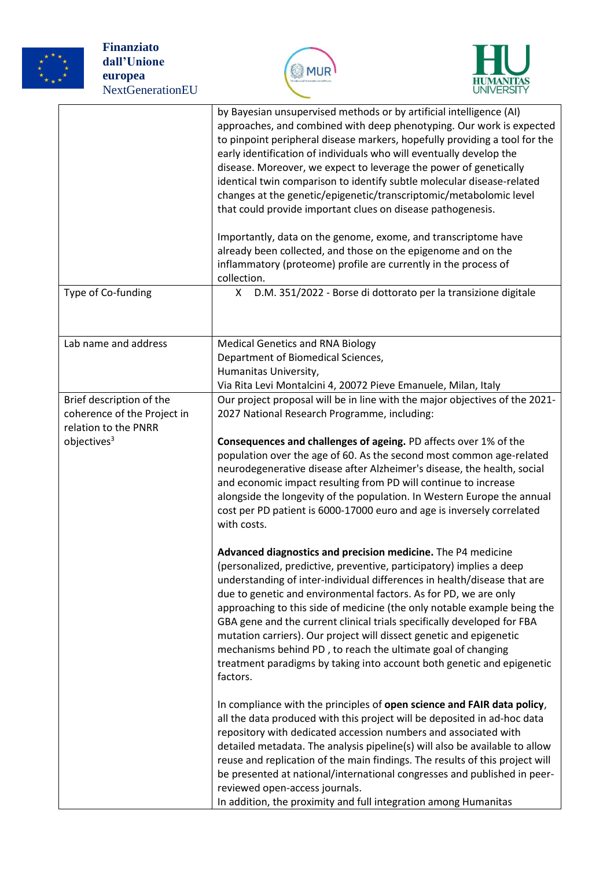





| Type of Co-funding                                                              | by Bayesian unsupervised methods or by artificial intelligence (AI)<br>approaches, and combined with deep phenotyping. Our work is expected<br>to pinpoint peripheral disease markers, hopefully providing a tool for the<br>early identification of individuals who will eventually develop the<br>disease. Moreover, we expect to leverage the power of genetically<br>identical twin comparison to identify subtle molecular disease-related<br>changes at the genetic/epigenetic/transcriptomic/metabolomic level<br>that could provide important clues on disease pathogenesis.<br>Importantly, data on the genome, exome, and transcriptome have<br>already been collected, and those on the epigenome and on the<br>inflammatory (proteome) profile are currently in the process of<br>collection.<br>D.M. 351/2022 - Borse di dottorato per la transizione digitale<br>X |
|---------------------------------------------------------------------------------|----------------------------------------------------------------------------------------------------------------------------------------------------------------------------------------------------------------------------------------------------------------------------------------------------------------------------------------------------------------------------------------------------------------------------------------------------------------------------------------------------------------------------------------------------------------------------------------------------------------------------------------------------------------------------------------------------------------------------------------------------------------------------------------------------------------------------------------------------------------------------------|
|                                                                                 |                                                                                                                                                                                                                                                                                                                                                                                                                                                                                                                                                                                                                                                                                                                                                                                                                                                                                  |
| Lab name and address                                                            | <b>Medical Genetics and RNA Biology</b><br>Department of Biomedical Sciences,<br>Humanitas University,<br>Via Rita Levi Montalcini 4, 20072 Pieve Emanuele, Milan, Italy                                                                                                                                                                                                                                                                                                                                                                                                                                                                                                                                                                                                                                                                                                         |
| Brief description of the<br>coherence of the Project in<br>relation to the PNRR | Our project proposal will be in line with the major objectives of the 2021-<br>2027 National Research Programme, including:                                                                                                                                                                                                                                                                                                                                                                                                                                                                                                                                                                                                                                                                                                                                                      |
| objectives <sup>3</sup>                                                         | Consequences and challenges of ageing. PD affects over 1% of the<br>population over the age of 60. As the second most common age-related<br>neurodegenerative disease after Alzheimer's disease, the health, social<br>and economic impact resulting from PD will continue to increase<br>alongside the longevity of the population. In Western Europe the annual<br>cost per PD patient is 6000-17000 euro and age is inversely correlated<br>with costs.                                                                                                                                                                                                                                                                                                                                                                                                                       |
|                                                                                 | Advanced diagnostics and precision medicine. The P4 medicine<br>(personalized, predictive, preventive, participatory) implies a deep<br>understanding of inter-individual differences in health/disease that are<br>due to genetic and environmental factors. As for PD, we are only<br>approaching to this side of medicine (the only notable example being the<br>GBA gene and the current clinical trials specifically developed for FBA<br>mutation carriers). Our project will dissect genetic and epigenetic<br>mechanisms behind PD, to reach the ultimate goal of changing<br>treatment paradigms by taking into account both genetic and epigenetic<br>factors.                                                                                                                                                                                                         |
|                                                                                 | In compliance with the principles of open science and FAIR data policy,<br>all the data produced with this project will be deposited in ad-hoc data<br>repository with dedicated accession numbers and associated with<br>detailed metadata. The analysis pipeline(s) will also be available to allow<br>reuse and replication of the main findings. The results of this project will<br>be presented at national/international congresses and published in peer-<br>reviewed open-access journals.<br>In addition, the proximity and full integration among Humanitas                                                                                                                                                                                                                                                                                                           |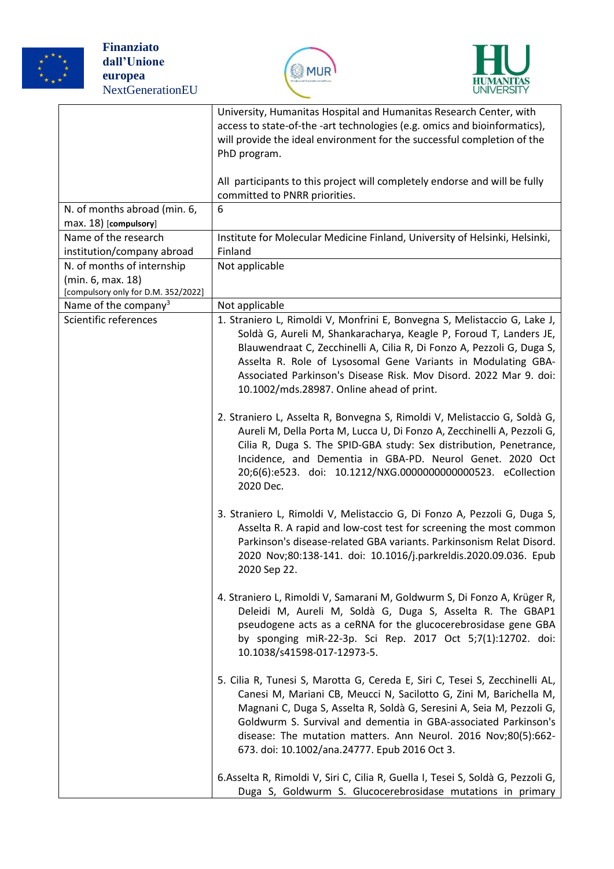





|                                                          | University, Humanitas Hospital and Humanitas Research Center, with<br>access to state-of-the -art technologies (e.g. omics and bioinformatics),<br>will provide the ideal environment for the successful completion of the<br>PhD program.                                                                                                                                                                       |
|----------------------------------------------------------|------------------------------------------------------------------------------------------------------------------------------------------------------------------------------------------------------------------------------------------------------------------------------------------------------------------------------------------------------------------------------------------------------------------|
|                                                          | All participants to this project will completely endorse and will be fully<br>committed to PNRR priorities.                                                                                                                                                                                                                                                                                                      |
| N. of months abroad (min. 6,                             | 6                                                                                                                                                                                                                                                                                                                                                                                                                |
| max. 18) [compulsory]                                    |                                                                                                                                                                                                                                                                                                                                                                                                                  |
| Name of the research                                     | Institute for Molecular Medicine Finland, University of Helsinki, Helsinki,                                                                                                                                                                                                                                                                                                                                      |
| institution/company abroad                               | Finland                                                                                                                                                                                                                                                                                                                                                                                                          |
| N. of months of internship                               | Not applicable                                                                                                                                                                                                                                                                                                                                                                                                   |
| (min. 6, max. 18)<br>[compulsory only for D.M. 352/2022] |                                                                                                                                                                                                                                                                                                                                                                                                                  |
| Name of the company <sup>3</sup>                         | Not applicable                                                                                                                                                                                                                                                                                                                                                                                                   |
| Scientific references                                    | 1. Straniero L, Rimoldi V, Monfrini E, Bonvegna S, Melistaccio G, Lake J,<br>Soldà G, Aureli M, Shankaracharya, Keagle P, Foroud T, Landers JE,<br>Blauwendraat C, Zecchinelli A, Cilia R, Di Fonzo A, Pezzoli G, Duga S,<br>Asselta R. Role of Lysosomal Gene Variants in Modulating GBA-<br>Associated Parkinson's Disease Risk. Mov Disord. 2022 Mar 9. doi:<br>10.1002/mds.28987. Online ahead of print.     |
|                                                          | 2. Straniero L, Asselta R, Bonvegna S, Rimoldi V, Melistaccio G, Soldà G,<br>Aureli M, Della Porta M, Lucca U, Di Fonzo A, Zecchinelli A, Pezzoli G,<br>Cilia R, Duga S. The SPID-GBA study: Sex distribution, Penetrance,<br>Incidence, and Dementia in GBA-PD. Neurol Genet. 2020 Oct<br>20;6(6):e523. doi: 10.1212/NXG.0000000000000523. eCollection<br>2020 Dec.                                             |
|                                                          | 3. Straniero L, Rimoldi V, Melistaccio G, Di Fonzo A, Pezzoli G, Duga S,<br>Asselta R. A rapid and low-cost test for screening the most common<br>Parkinson's disease-related GBA variants. Parkinsonism Relat Disord.<br>2020 Nov;80:138-141. doi: 10.1016/j.parkreldis.2020.09.036. Epub<br>2020 Sep 22.                                                                                                       |
|                                                          | 4. Straniero L, Rimoldi V, Samarani M, Goldwurm S, Di Fonzo A, Krüger R,<br>Deleidi M, Aureli M, Soldà G, Duga S, Asselta R. The GBAP1<br>pseudogene acts as a ceRNA for the glucocerebrosidase gene GBA<br>by sponging miR-22-3p. Sci Rep. 2017 Oct 5;7(1):12702. doi:<br>10.1038/s41598-017-12973-5.                                                                                                           |
|                                                          | 5. Cilia R, Tunesi S, Marotta G, Cereda E, Siri C, Tesei S, Zecchinelli AL,<br>Canesi M, Mariani CB, Meucci N, Sacilotto G, Zini M, Barichella M,<br>Magnani C, Duga S, Asselta R, Soldà G, Seresini A, Seia M, Pezzoli G,<br>Goldwurm S. Survival and dementia in GBA-associated Parkinson's<br>disease: The mutation matters. Ann Neurol. 2016 Nov;80(5):662-<br>673. doi: 10.1002/ana.24777. Epub 2016 Oct 3. |
|                                                          | 6. Asselta R, Rimoldi V, Siri C, Cilia R, Guella I, Tesei S, Soldà G, Pezzoli G,<br>Duga S, Goldwurm S. Glucocerebrosidase mutations in primary                                                                                                                                                                                                                                                                  |